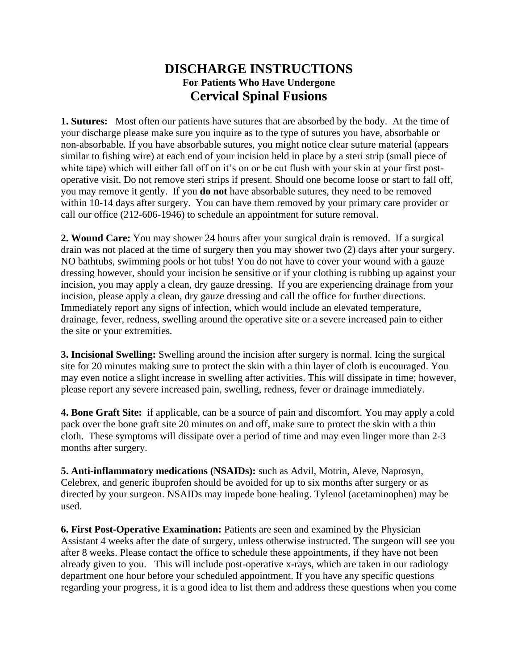## **DISCHARGE INSTRUCTIONS For Patients Who Have Undergone Cervical Spinal Fusions**

**1. Sutures:** Most often our patients have sutures that are absorbed by the body. At the time of your discharge please make sure you inquire as to the type of sutures you have, absorbable or non-absorbable. If you have absorbable sutures, you might notice clear suture material (appears similar to fishing wire) at each end of your incision held in place by a steri strip (small piece of white tape) which will either fall off on it's on or be cut flush with your skin at your first postoperative visit. Do not remove steri strips if present. Should one become loose or start to fall off, you may remove it gently.If you **do not** have absorbable sutures, they need to be removed within 10-14 days after surgery. You can have them removed by your primary care provider or call our office (212-606-1946) to schedule an appointment for suture removal.

**2. Wound Care:** You may shower 24 hours after your surgical drain is removed. If a surgical drain was not placed at the time of surgery then you may shower two (2) days after your surgery. NO bathtubs, swimming pools or hot tubs! You do not have to cover your wound with a gauze dressing however, should your incision be sensitive or if your clothing is rubbing up against your incision, you may apply a clean, dry gauze dressing. If you are experiencing drainage from your incision, please apply a clean, dry gauze dressing and call the office for further directions. Immediately report any signs of infection, which would include an elevated temperature, drainage, fever, redness, swelling around the operative site or a severe increased pain to either the site or your extremities.

**3. Incisional Swelling:** Swelling around the incision after surgery is normal. Icing the surgical site for 20 minutes making sure to protect the skin with a thin layer of cloth is encouraged. You may even notice a slight increase in swelling after activities. This will dissipate in time; however, please report any severe increased pain, swelling, redness, fever or drainage immediately.

**4. Bone Graft Site:** if applicable, can be a source of pain and discomfort. You may apply a cold pack over the bone graft site 20 minutes on and off, make sure to protect the skin with a thin cloth. These symptoms will dissipate over a period of time and may even linger more than 2-3 months after surgery.

**5. Anti-inflammatory medications (NSAIDs):** such as Advil, Motrin, Aleve, Naprosyn, Celebrex, and generic ibuprofen should be avoided for up to six months after surgery or as directed by your surgeon. NSAIDs may impede bone healing. Tylenol (acetaminophen) may be used.

**6. First Post-Operative Examination:** Patients are seen and examined by the Physician Assistant 4 weeks after the date of surgery, unless otherwise instructed. The surgeon will see you after 8 weeks. Please contact the office to schedule these appointments, if they have not been already given to you. This will include post-operative x-rays, which are taken in our radiology department one hour before your scheduled appointment. If you have any specific questions regarding your progress, it is a good idea to list them and address these questions when you come